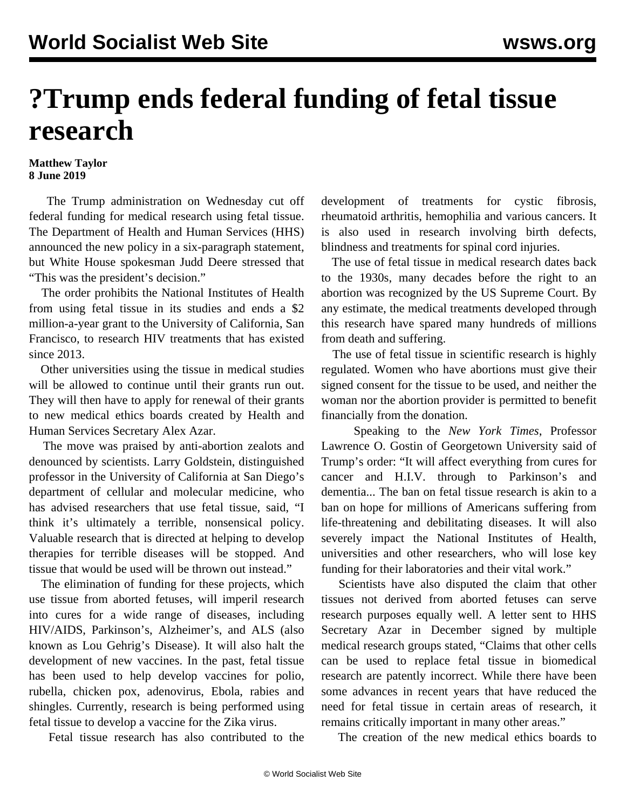## **?Trump ends federal funding of fetal tissue research**

## **Matthew Taylor 8 June 2019**

 The Trump administration on Wednesday cut off federal funding for medical research using fetal tissue. The Department of Health and Human Services (HHS) announced the new policy in a six-paragraph statement, but White House spokesman Judd Deere stressed that "This was the president's decision."

 The order prohibits the National Institutes of Health from using fetal tissue in its studies and ends a \$2 million-a-year grant to the University of California, San Francisco, to research HIV treatments that has existed since 2013.

 Other universities using the tissue in medical studies will be allowed to continue until their grants run out. They will then have to apply for renewal of their grants to new medical ethics boards created by Health and Human Services Secretary Alex Azar.

 The move was praised by anti-abortion zealots and denounced by scientists. Larry Goldstein, distinguished professor in the University of California at San Diego's department of cellular and molecular medicine, who has advised researchers that use fetal tissue, said, "I think it's ultimately a terrible, nonsensical policy. Valuable research that is directed at helping to develop therapies for terrible diseases will be stopped. And tissue that would be used will be thrown out instead."

 The elimination of funding for these projects, which use tissue from aborted fetuses, will imperil research into cures for a wide range of diseases, including HIV/AIDS, Parkinson's, Alzheimer's, and ALS (also known as Lou Gehrig's Disease). It will also halt the development of new vaccines. In the past, fetal tissue has been used to help develop vaccines for polio, rubella, chicken pox, adenovirus, Ebola, rabies and shingles. Currently, research is being performed using fetal tissue to develop a vaccine for the Zika virus.

Fetal tissue research has also contributed to the

development of treatments for cystic fibrosis, rheumatoid arthritis, hemophilia and various cancers. It is also used in research involving birth defects, blindness and treatments for spinal cord injuries.

 The use of fetal tissue in medical research dates back to the 1930s, many decades before the right to an abortion was recognized by the US Supreme Court. By any estimate, the medical treatments developed through this research have spared many hundreds of millions from death and suffering.

 The use of fetal tissue in scientific research is highly regulated. Women who have abortions must give their signed consent for the tissue to be used, and neither the woman nor the abortion provider is permitted to benefit financially from the donation.

 Speaking to the *New York Times*, Professor Lawrence O. Gostin of Georgetown University said of Trump's order: "It will affect everything from cures for cancer and H.I.V. through to Parkinson's and dementia... The ban on fetal tissue research is akin to a ban on hope for millions of Americans suffering from life-threatening and debilitating diseases. It will also severely impact the National Institutes of Health, universities and other researchers, who will lose key funding for their laboratories and their vital work."

 Scientists have also disputed the claim that other tissues not derived from aborted fetuses can serve research purposes equally well. A letter sent to HHS Secretary Azar in December signed by multiple medical research groups stated, "Claims that other cells can be used to replace fetal tissue in biomedical research are patently incorrect. While there have been some advances in recent years that have reduced the need for fetal tissue in certain areas of research, it remains critically important in many other areas."

The creation of the new medical ethics boards to